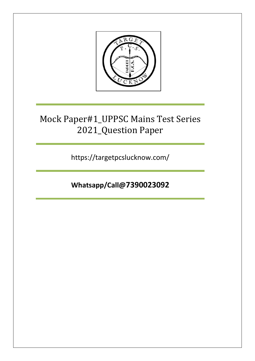

https://targetpcslucknow.com/

**Whatsapp/Call@7390023092**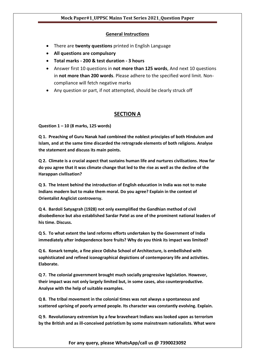#### **General Instructions**

- There are **twenty questions** printed in English Language
- **All questions are compulsory**
- **Total marks - 200 & test duration - 3 hours**
- Answer first 10 questions in **not more than 125 words**, And next 10 questions in **not more than 200 words**. Please adhere to the specified word limit. Noncompliance will fetch negative marks
- Any question or part, if not attempted, should be clearly struck off

## **SECTION A**

**Question 1 – 10 (8 marks, 125 words)**

**Q 1. Preaching of Guru Nanak had combined the noblest principles of both Hinduism and Islam, and at the same time discarded the retrograde elements of both religions. Analyse the statement and discuss its main points.** 

**Q 2. Climate is a crucial aspect that sustains human life and nurtures civilisations. How far do you agree that it was climate change that led to the rise as well as the decline of the Harappan civilisation?**

**Q 3. The Intent behind the introduction of English education in India was not to make Indians modern but to make them moral. Do you agree? Explain in the context of Orientalist Anglicist controversy.**

**Q 4. Bardoli Satyagrah (1928) not only exemplified the Gandhian method of civil disobedience but also established Sardar Patel as one of the prominent national leaders of his time. Discuss.**

**Q 5. To what extent the land reforms efforts undertaken by the Government of India immediately after independence bore fruits? Why do you think its impact was limited?**

**Q 6. Konark temple, a fine piece Odisha School of Architecture, is embellished with sophisticated and refined iconographical depictions of contemporary life and activities. Elaborate.**

**Q 7. The colonial government brought much socially progressive legislation. However, their impact was not only largely limited but, in some cases, also counterproductive. Analyse with the help of suitable examples.**

**Q 8. The tribal movement in the colonial times was not always a spontaneous and scattered uprising of poorly armed people. Its character was constantly evolving. Explain.**

**Q 9. Revolutionary extremism by a few braveheart Indians was looked upon as terrorism by the British and as ill-conceived patriotism by some mainstream nationalists. What were** 

#### **For any query, please WhatsApp/call us @ 7390023092**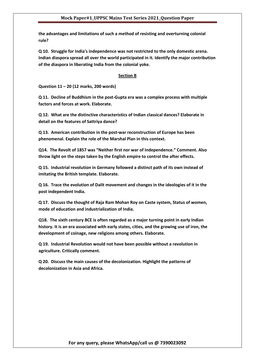**the advantages and limitations of such a method of resisting and overturning colonial rule?**

**Q 10. Struggle for India's independence was not restricted to the only domestic arena. Indian diaspora spread all over the world participated in it. Identify the major contribution of the diaspora in liberating India from the colonial yoke.**

#### **Section B**

**Question 11 – 20 (12 marks, 200 words)**

**Q 11. Decline of Buddhism in the post-Gupta era was a complex process with multiple factors and forces at work. Elaborate.**

**Q 12. What are the distinctive characteristics of Indian classical dances? Elaborate in detail on the features of Sattriya dance?**

**Q 13. American contribution in the post-war reconstruction of Europe has been phenomenal. Explain the role of the Marshal Plan in this context.**

**Q14. The Revolt of 1857 was "Neither first nor war of Independence." Comment. Also throw light on the steps taken by the English empire to control the after effects.**

**Q 15. Industrial revolution in Germany followed a distinct path of its own instead of imitating the British template. Elaborate.**

**Q 16. Trace the evolution of Dalit movement and changes in the ideologies of it in the post independent India.**

**Q 17. Discuss the thought of Raja Ram Mohan Roy on Caste system, Status of women, mode of education and industrialization of India.**

**Q18. The sixth century BCE is often regarded as a major turning point in early Indian history. It is an era associated with early states, cities, and the growing use of iron, the development of coinage, new religions among others. Elaborate.**

**Q 19. Industrial Revolution would not have been possible without a revolution in agriculture. Critically comment.**

**Q 20. Discuss the main causes of the decolonization. Highlight the patterns of decolonization in Asia and Africa.**